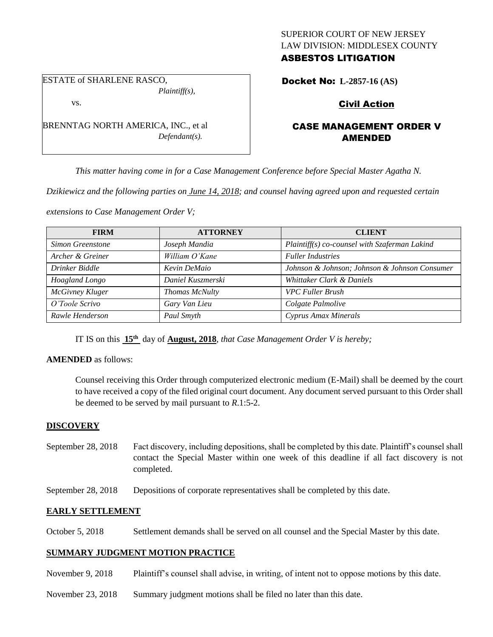## SUPERIOR COURT OF NEW JERSEY LAW DIVISION: MIDDLESEX COUNTY ASBESTOS LITIGATION

ESTATE of SHARLENE RASCO, *Plaintiff(s),*

vs.

BRENNTAG NORTH AMERICA, INC., et al *Defendant(s).*

# Docket No: **L-2857-16 (AS)**

# Civil Action

# CASE MANAGEMENT ORDER V AMENDED

*This matter having come in for a Case Management Conference before Special Master Agatha N.* 

*Dzikiewicz and the following parties on June 14, 2018; and counsel having agreed upon and requested certain* 

*extensions to Case Management Order V;*

| <b>FIRM</b>      | <b>ATTORNEY</b>   | <b>CLIENT</b>                                 |
|------------------|-------------------|-----------------------------------------------|
| Simon Greenstone | Joseph Mandia     | Plaintiff(s) co-counsel with Szaferman Lakind |
| Archer & Greiner | William O'Kane    | <b>Fuller Industries</b>                      |
| Drinker Biddle   | Kevin DeMaio      | Johnson & Johnson; Johnson & Johnson Consumer |
| Hoagland Longo   | Daniel Kuszmerski | Whittaker Clark & Daniels                     |
| McGivney Kluger  | Thomas McNulty    | <b>VPC Fuller Brush</b>                       |
| O'Toole Scrivo   | Gary Van Lieu     | Colgate Palmolive                             |
| Rawle Henderson  | Paul Smyth        | Cyprus Amax Minerals                          |

IT IS on this  $15<sup>th</sup>$  day of **August, 2018**, *that Case Management Order V is hereby*;

### **AMENDED** as follows:

Counsel receiving this Order through computerized electronic medium (E-Mail) shall be deemed by the court to have received a copy of the filed original court document. Any document served pursuant to this Order shall be deemed to be served by mail pursuant to *R*.1:5-2.

### **DISCOVERY**

- September 28, 2018 Fact discovery, including depositions, shall be completed by this date. Plaintiff's counsel shall contact the Special Master within one week of this deadline if all fact discovery is not completed.
- September 28, 2018 Depositions of corporate representatives shall be completed by this date.

## **EARLY SETTLEMENT**

October 5, 2018 Settlement demands shall be served on all counsel and the Special Master by this date.

# **SUMMARY JUDGMENT MOTION PRACTICE**

- November 9, 2018 Plaintiff's counsel shall advise, in writing, of intent not to oppose motions by this date.
- November 23, 2018 Summary judgment motions shall be filed no later than this date.